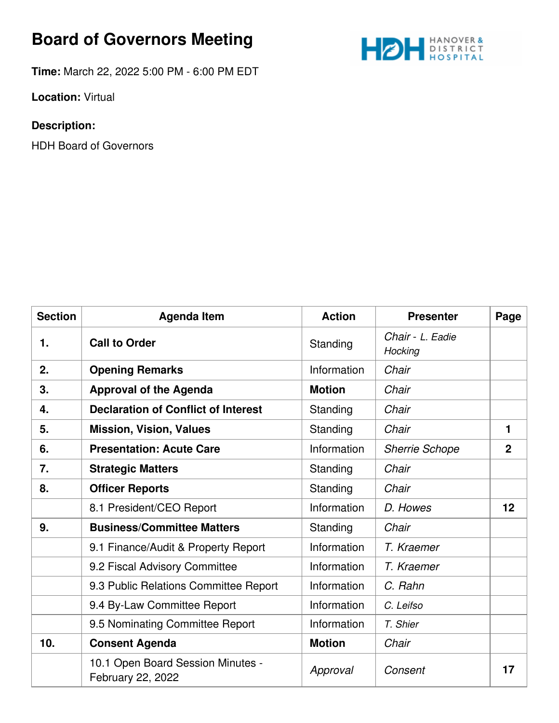## **Board of Governors Meeting**



**Time:** March 22, 2022 5:00 PM - 6:00 PM EDT

**Location:** Virtual

## **Description:**

HDH Board of Governors

| <b>Section</b> | <b>Agenda Item</b>                                     | <b>Action</b> | <b>Presenter</b>            | Page           |
|----------------|--------------------------------------------------------|---------------|-----------------------------|----------------|
| 1.             | <b>Call to Order</b>                                   | Standing      | Chair - L. Eadie<br>Hocking |                |
| 2.             | <b>Opening Remarks</b>                                 | Information   | Chair                       |                |
| 3.             | <b>Approval of the Agenda</b>                          | <b>Motion</b> | Chair                       |                |
| 4.             | <b>Declaration of Conflict of Interest</b>             | Standing      | Chair                       |                |
| 5.             | <b>Mission, Vision, Values</b>                         | Standing      | Chair                       | 1              |
| 6.             | <b>Presentation: Acute Care</b>                        | Information   | <b>Sherrie Schope</b>       | $\overline{2}$ |
| 7.             | <b>Strategic Matters</b>                               | Standing      | Chair                       |                |
| 8.             | <b>Officer Reports</b>                                 | Standing      | Chair                       |                |
|                | 8.1 President/CEO Report                               | Information   | D. Howes                    | 12             |
| 9.             | <b>Business/Committee Matters</b>                      | Standing      | Chair                       |                |
|                | 9.1 Finance/Audit & Property Report                    | Information   | T. Kraemer                  |                |
|                | 9.2 Fiscal Advisory Committee                          | Information   | T. Kraemer                  |                |
|                | 9.3 Public Relations Committee Report                  | Information   | C. Rahn                     |                |
|                | 9.4 By-Law Committee Report                            | Information   | C. Leifso                   |                |
|                | 9.5 Nominating Committee Report                        | Information   | T. Shier                    |                |
| 10.            | <b>Consent Agenda</b>                                  | <b>Motion</b> | Chair                       |                |
|                | 10.1 Open Board Session Minutes -<br>February 22, 2022 | Approval      | Consent                     | 17             |